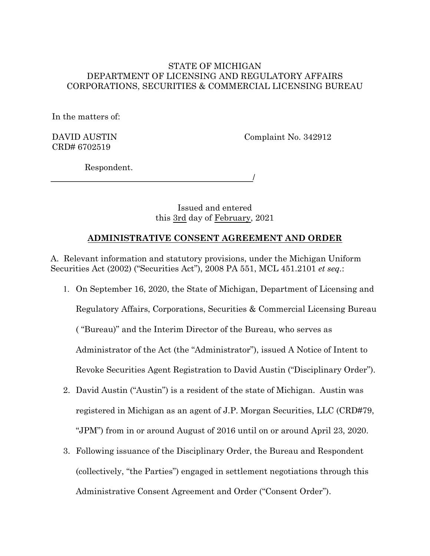#### STATE OF MICHIGAN DEPARTMENT OF LICENSING AND REGULATORY AFFAIRS CORPORATIONS, SECURITIES & COMMERCIAL LICENSING BUREAU

In the matters of:

DAVID AUSTIN CRD# 6702519

Complaint No. 342912

/

Respondent.

Issued and entered this 3rd day of February, 2021

# **ADMINISTRATIVE CONSENT AGREEMENT AND ORDER**

A. Relevant information and statutory provisions, under the Michigan Uniform Securities Act (2002) ("Securities Act"), 2008 PA 551, MCL 451.2101 *et seq.*:

- 1. On September 16, 2020, the State of Michigan, Department of Licensing and Regulatory Affairs, Corporations, Securities & Commercial Licensing Bureau ( "Bureau)" and the Interim Director of the Bureau, who serves as Administrator of the Act (the "Administrator"), issued A Notice of Intent to Revoke Securities Agent Registration to David Austin ("Disciplinary Order").
- 2. David Austin ("Austin") is a resident of the state of Michigan. Austin was registered in Michigan as an agent of J.P. Morgan Securities, LLC (CRD#79, "JPM") from in or around August of 2016 until on or around April 23, 2020.
- 3. Following issuance of the Disciplinary Order, the Bureau and Respondent (collectively, "the Parties") engaged in settlement negotiations through this Administrative Consent Agreement and Order ("Consent Order").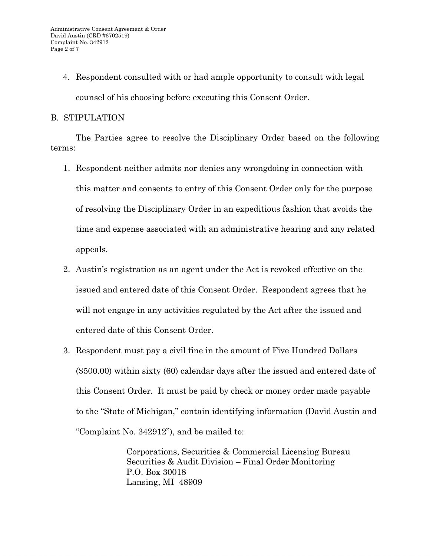4. Respondent consulted with or had ample opportunity to consult with legal counsel of his choosing before executing this Consent Order.

# B. STIPULATION

The Parties agree to resolve the Disciplinary Order based on the following terms:

- 1. Respondent neither admits nor denies any wrongdoing in connection with this matter and consents to entry of this Consent Order only for the purpose of resolving the Disciplinary Order in an expeditious fashion that avoids the time and expense associated with an administrative hearing and any related appeals.
- 2. Austin's registration as an agent under the Act is revoked effective on the issued and entered date of this Consent Order. Respondent agrees that he will not engage in any activities regulated by the Act after the issued and entered date of this Consent Order.
- 3. Respondent must pay a civil fine in the amount of Five Hundred Dollars (\$500.00) within sixty (60) calendar days after the issued and entered date of this Consent Order. It must be paid by check or money order made payable to the "State of Michigan," contain identifying information (David Austin and "Complaint No. 342912"), and be mailed to:

Corporations, Securities & Commercial Licensing Bureau Securities & Audit Division – Final Order Monitoring P.O. Box 30018 Lansing, MI 48909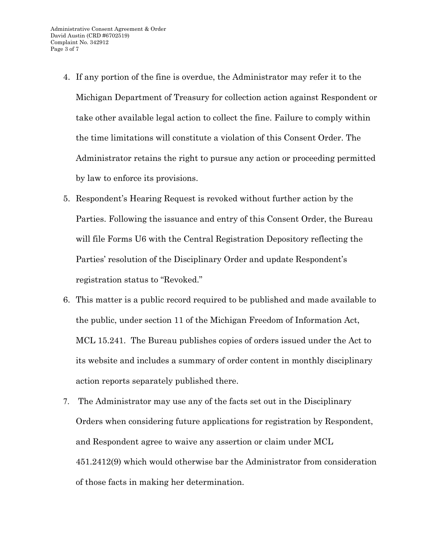- 4. If any portion of the fine is overdue, the Administrator may refer it to the Michigan Department of Treasury for collection action against Respondent or take other available legal action to collect the fine. Failure to comply within the time limitations will constitute a violation of this Consent Order. The Administrator retains the right to pursue any action or proceeding permitted by law to enforce its provisions.
- 5. Respondent's Hearing Request is revoked without further action by the Parties. Following the issuance and entry of this Consent Order, the Bureau will file Forms U6 with the Central Registration Depository reflecting the Parties' resolution of the Disciplinary Order and update Respondent's registration status to "Revoked."
- 6. This matter is a public record required to be published and made available to the public, under section 11 of the Michigan Freedom of Information Act, MCL 15.241. The Bureau publishes copies of orders issued under the Act to its website and includes a summary of order content in monthly disciplinary action reports separately published there.
- 7. The Administrator may use any of the facts set out in the Disciplinary Orders when considering future applications for registration by Respondent, and Respondent agree to waive any assertion or claim under MCL 451.2412(9) which would otherwise bar the Administrator from consideration of those facts in making her determination.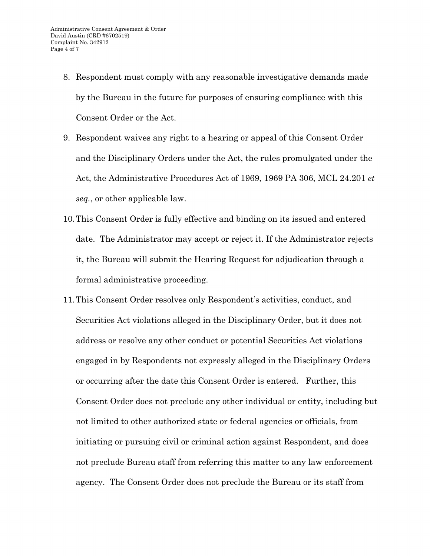- 8. Respondent must comply with any reasonable investigative demands made by the Bureau in the future for purposes of ensuring compliance with this Consent Order or the Act.
- 9. Respondent waives any right to a hearing or appeal of this Consent Order and the Disciplinary Orders under the Act, the rules promulgated under the Act, the Administrative Procedures Act of 1969, 1969 PA 306, MCL 24.201 *et seq.*, or other applicable law.
- 10.This Consent Order is fully effective and binding on its issued and entered date. The Administrator may accept or reject it. If the Administrator rejects it, the Bureau will submit the Hearing Request for adjudication through a formal administrative proceeding.
- 11.This Consent Order resolves only Respondent's activities, conduct, and Securities Act violations alleged in the Disciplinary Order, but it does not address or resolve any other conduct or potential Securities Act violations engaged in by Respondents not expressly alleged in the Disciplinary Orders or occurring after the date this Consent Order is entered. Further, this Consent Order does not preclude any other individual or entity, including but not limited to other authorized state or federal agencies or officials, from initiating or pursuing civil or criminal action against Respondent, and does not preclude Bureau staff from referring this matter to any law enforcement agency. The Consent Order does not preclude the Bureau or its staff from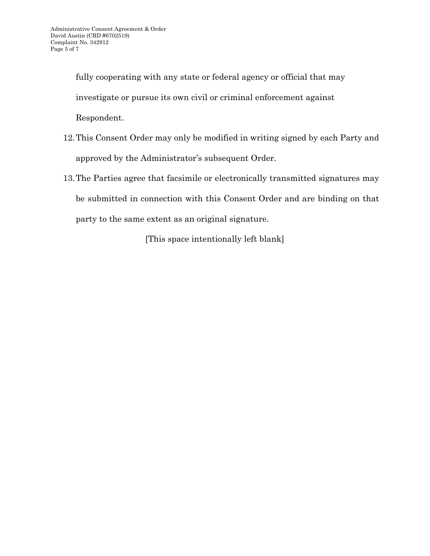fully cooperating with any state or federal agency or official that may investigate or pursue its own civil or criminal enforcement against Respondent.

- 12.This Consent Order may only be modified in writing signed by each Party and approved by the Administrator's subsequent Order.
- 13.The Parties agree that facsimile or electronically transmitted signatures may be submitted in connection with this Consent Order and are binding on that party to the same extent as an original signature.

[This space intentionally left blank]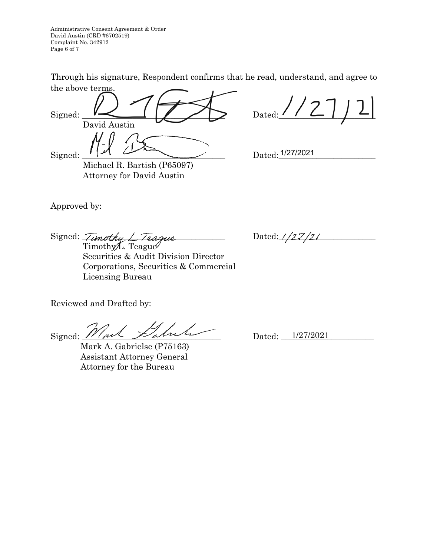Administrative Consent Agreement & Order David Austin (CRD #6702519) Complaint No. 342912 Page 6 of 7

Through his signature, Respondent confirms that he read, understand, and agree to the above terms.

Signed:  $\leq$   $\leq$   $\leq$   $\leq$   $\leq$   $\leq$   $\leq$   $\leq$   $\leq$   $\leq$   $\leq$   $\leq$   $\leq$   $\leq$   $\leq$   $\leq$   $\leq$   $\leq$   $\leq$   $\leq$   $\leq$   $\leq$   $\leq$   $\leq$   $\leq$   $\leq$   $\leq$   $\leq$   $\leq$   $\leq$   $\leq$   $\leq$   $\leq$   $\leq$   $\leq$   $\le$  David Austin  $Signal: 171 \times 271 \times 271 \times 271 \times 271 \times 271 \times 271 \times 271 \times 271 \times 271 \times 271 \times 271 \times 271 \times 271 \times 271 \times 271 \times 271 \times 271 \times 271 \times 271 \times 271 \times 271 \times 271 \times 271 \times 271 \times 271 \times 271 \times 271 \times 271 \times 271 \times 271 \times 271 \times 271 \times 271 \times 271 \times 271 \times 2$ 

 Michael R. Bartish (P65097) Attorney for David Austin

Approved by:

Signed:  $Timothu$   $\perp$  Teague Dated:  $1/27/21$ 

Timothy L. Teague Securities & Audit Division Director Corporations, Securities & Commercial Licensing Bureau

Reviewed and Drafted by:

 $Signed: 1$ 

 Mark A. Gabrielse (P75163) Assistant Attorney General Attorney for the Bureau

Dated: 1/27/2021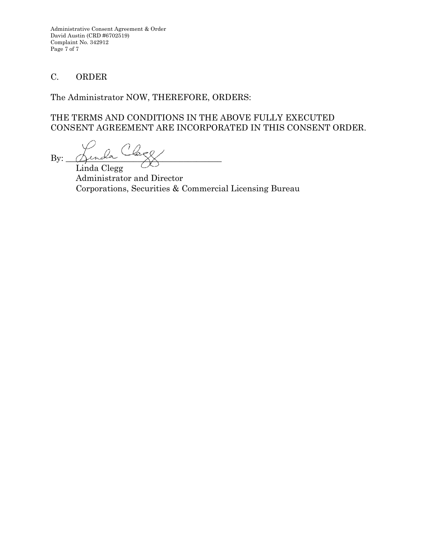Administrative Consent Agreement & Order David Austin (CRD #6702519) Complaint No. 342912 Page 7 of 7

# C. ORDER

The Administrator NOW, THEREFORE, ORDERS:

# THE TERMS AND CONDITIONS IN THE ABOVE FULLY EXECUTED CONSENT AGREEMENT ARE INCORPORATED IN THIS CONSENT ORDER.

 $By:$ 

Linda Clegg Administrator and Director Corporations, Securities & Commercial Licensing Bureau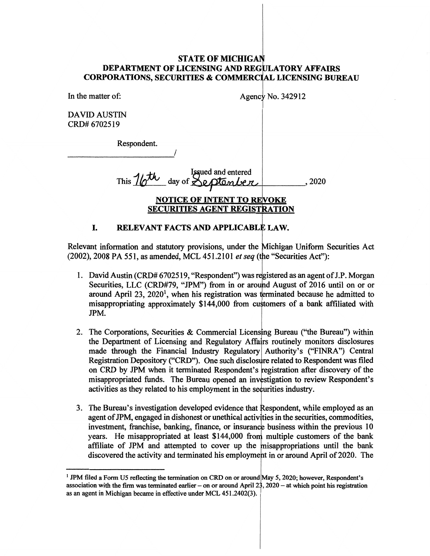#### **STATE OF MICHIGAN DEPARTMENT OF LICENSING AND REG ATORY AFFAIRS CORPORATIONS, SECURITIES** & **COMMERC LICENSING BUREAU**

In the matter of: Agency No. 342912

DAVID AUSTIN CRD# 6702519

Respondent.

 $\overline{\phantom{a}}$ 

This 16th day of September 2020 **NOTICE OF INTENT TO SECURITIES AGENT REGISTRATION** 

#### I. RELEVANT FACTS AND APPLICABLE LAW. I

Relevant information and statutory provisions, under the Michigan Uniform Securities Act (2002), 2008 PA 551, as amended, MCL 451.2101 *et seq* (the "Securities Act"):

- 1. David Austin (CRD# 6702519, "Respondent") was registered as an agent of J.P. Morgan Securities, LLC (CRD#79, "JPM") from in or around August of 2016 until on or or around April 23,  $2020<sup>1</sup>$ , when his registration was terminated because he admitted to misappropriating approximately \$144,000 from cu tomers of a bank affiliated with JPM.
- 2. The Corporations, Securities & Commercial Licensing Bureau ("the Bureau") within the Department of Licensing and Regulatory Affairs routinely monitors disclosures made through the Financial Industry Regulatory Authority's ("FINRA") Central Registration Depository ("CRD"). One such disclosure related to Respondent was filed on CRD by JPM when it terminated Respondent's egistration after discovery of the misappropriated funds. The Bureau opened an investigation to review Respondent's activities as they related to his employment in the securities industry.
- 3. The Bureau's investigation developed evidence that Respondent, while employed as an agent of JPM, engaged in dishonest or unethical activities in the securities, commodities, investment, franchise, banking, finance, or insurance business within the previous 10 years. He misappropriated at least \$144,000 from multiple customers of the bank affiliate of JPM and attempted to cover up the isappropriations until the bank discovered the activity and terminated his employment in or around April of 2020. The

<sup>&</sup>lt;sup>1</sup> JPM filed a Form U5 reflecting the termination on CRD on or around May 5, 2020; however, Respondent's association with the firm was terminated earlier – on or around April  $23$ ,  $2020 - at$  which point his registration as an agent in Michigan became in effective under MCL 451.2402(3).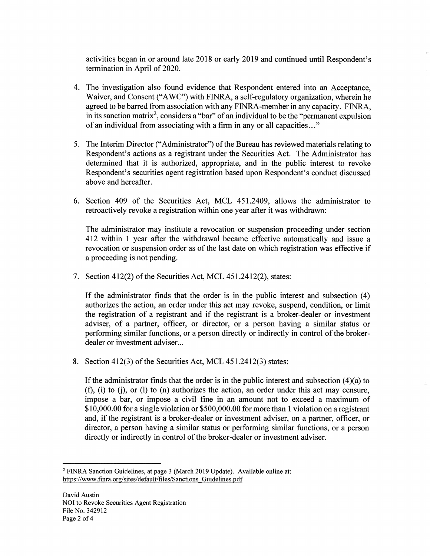activities began in or around late 2018 or early 2019 and continued until Respondent's termination in April of 2020.

- 4. The investigation also found evidence that Respondent entered into an Acceptance, Waiver, and Consent ("AWC") with FINRA, a self-regulatory organization, wherein he agreed to be barred from association with any FINRA-member in any capacity. FINRA, in its sanction matrix<sup>2</sup>, considers a "bar" of an individual to be the "permanent expulsion of an individual from associating with a firm in any or all capacities ... "
- 5. The Interim Director ("Administrator") of the Bureau has reviewed materials relating to Respondent's actions as a registrant under the Securities Act. The Administrator has determined that it is authorized, appropriate, and in the public interest to revoke Respondent's securities agent registration based upon Respondent's conduct discussed above and hereafter.
- 6. Section 409 of the Securities Act, MCL 451.2409, allows the administrator to retroactively revoke a registration within one year after it was withdrawn:

The administrator may institute a revocation or suspension proceeding under section 412 within 1 year after the withdrawal became effective automatically and issue a revocation or suspension order as of the last date on which registration was effective if a proceeding is not pending.

7. Section 412(2) of the Securities Act, MCL 451.2412(2), states:

If the administrator finds that the order is in the public interest and subsection (4) authorizes the action, an order under this act may revoke, suspend, condition, or limit the registration of a registrant and if the registrant is a broker-dealer or investment adviser, of a partner, officer, or director, or a person having a similar status or performing similar functions, or a person directly or indirectly in control of the brokerdealer or investment adviser...

8. Section 412(3) of the Securities Act, MCL 451.2412(3) states:

If the administrator finds that the order is in the public interest and subsection  $(4)(a)$  to  $(f)$ ,  $(i)$  to  $(j)$ , or  $(l)$  to  $(n)$  authorizes the action, an order under this act may censure, impose a bar, or impose a civil fine in an amount not to exceed a maximum of \$10,000.00 for a single violation or \$500,000.00 for more than 1 violation on a registrant and, if the registrant is a broker-dealer or investment adviser, on a partner, officer, or director, a person having a similar status or performing similar functions, or a person directly or indirectly in control of the broker-dealer or investment adviser.

<sup>2</sup>FINRA Sanction Guidelines, at page 3 (March 2019 Update). Available online at: https://www.finra.org/sites/default/files/Sanctions Guidelines.pdf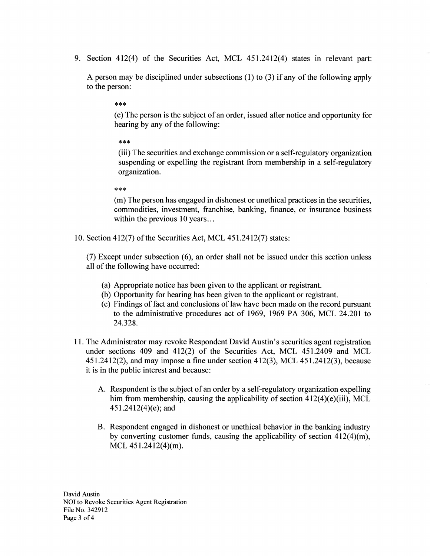9. Section 412(4) of the Securities Act, MCL 451.2412(4) states in relevant part:

A person may be disciplined under subsections (1) to (3) if any of the following apply to the person:

\*\*\*

( e) The person is the subject of an order, issued after notice and opportunity for hearing by any of the following:

\*\*\*

(iii) The securities and exchange commission or a self-regulatory organization suspending or expelling the registrant from membership in a self-regulatory organization.

\*\*\*

(m) The person has engaged in dishonest or unethical practices in the securities, commodities, investment, franchise, banking, finance, or insurance business within the previous 10 years...

10. Section 412(7) of the Securities Act, MCL 451.2412(7) states:

(7) Except under subsection ( 6), an order shall not be issued under this section unless all of the following have occurred:

- (a) Appropriate notice has been given to the applicant or registrant.
- (b) Opportunity for hearing has been given to the applicant or registrant.
- ( c) Findings of fact and conclusions of law have been made on the record pursuant to the administrative procedures act of 1969, 1969 PA 306, MCL 24.201 to 24.328.
- 11. The Administrator may revoke Respondent David Austin's securities agent registration under sections 409 and 412(2) of the Securities Act, MCL 451.2409 and MCL 451.2412(2), and may impose a fine under section 412(3), MCL 451.2412(3), because it is in the public interest and because:
	- A. Respondent is the subject of an order by a self-regulatory organization expelling him from membership, causing the applicability of section 412(4)(e)(iii), MCL  $451.2412(4)$ (e); and
	- B. Respondent engaged in dishonest or unethical behavior in the banking industry by converting customer funds, causing the applicability of section 412(4)(m), MCL 451.2412(4)(m).